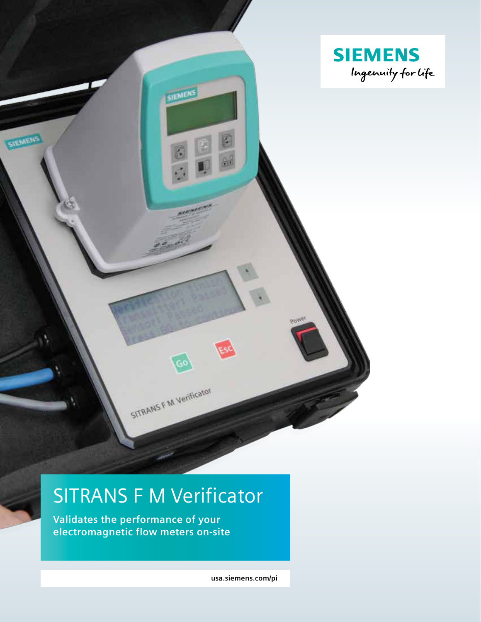

# SITRANS F M Verificator

**Validates the performance of your electromagnetic flow meters on-site**

**usa.siemens.com/pi**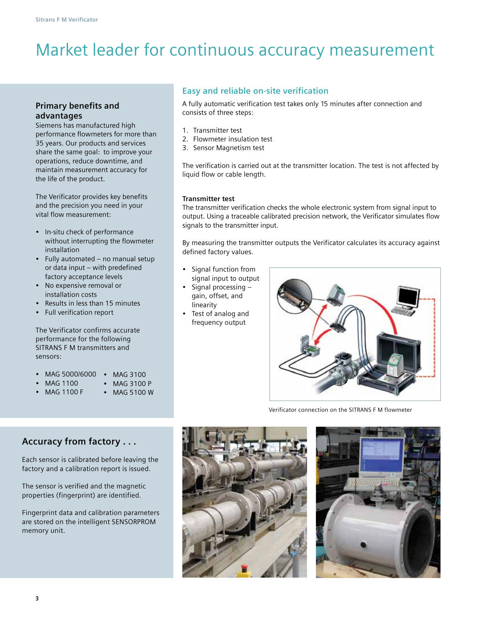## Market leader for continuous accuracy measurement

consists of three steps:

2. Flowmeter insulation test 3. Sensor Magnetism test

liquid flow or cable length.

1. Transmitter test

**Easy and reliable on-site verification**

## **Primary benefits and advantages**

Siemens has manufactured high performance flowmeters for more than 35 years. Our products and services share the same goal: to improve your operations, reduce downtime, and maintain measurement accuracy for the life of the product.

The Verificator provides key benefits and the precision you need in your vital flow measurement:

- In-situ check of performance without interrupting the flowmeter installation
- Fully automated no manual setup or data input – with predefined factory acceptance levels
- No expensive removal or installation costs
- Results in less than 15 minutes
- Full verification report

The Verificator confirms accurate performance for the following SITRANS F M transmitters and sensors:

- MAG 5000/6000 MAG 3100
	- MAG 1100
- MAG 1100 F
- MAG 3100 P
- MAG 5100 W

**Transmitter test**

The transmitter verification checks the whole electronic system from signal input to output. Using a traceable calibrated precision network, the Verificator simulates flow signals to the transmitter input.

The verification is carried out at the transmitter location. The test is not affected by

A fully automatic verification test takes only 15 minutes after connection and

By measuring the transmitter outputs the Verificator calculates its accuracy against defined factory values.

- Signal function from signal input to output
- Signal processing gain, offset, and linearity
- Test of analog and frequency output



Verificator connection on the SITRANS F M flowmeter

## **Accuracy from factory . . .**

Each sensor is calibrated before leaving the factory and a calibration report is issued.

The sensor is verified and the magnetic properties (fingerprint) are identified.

Fingerprint data and calibration parameters are stored on the intelligent SENSORPROM memory unit.



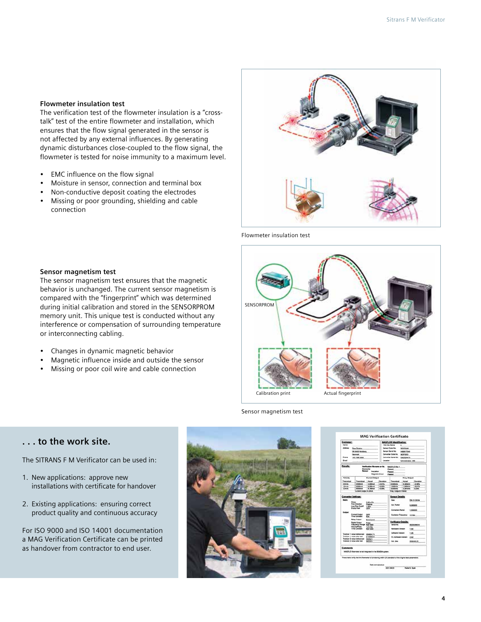#### **Flowmeter insulation test**

The verification test of the flowmeter insulation is a "crosstalk" test of the entire flowmeter and installation, which ensures that the flow signal generated in the sensor is not affected by any external influences. By generating dynamic disturbances close-coupled to the flow signal, the flowmeter is tested for noise immunity to a maximum level.

- EMC influence on the flow signal
- Moisture in sensor, connection and terminal box
- Non-conductive deposit coating the electrodes
- Missing or poor grounding, shielding and cable connection



Flowmeter insulation test



#### **Sensor magnetism test**

The sensor magnetism test ensures that the magnetic behavior is unchanged. The current sensor magnetism is compared with the "fingerprint" which was determined during initial calibration and stored in the SENSORPROM memory unit. This unique test is conducted without any interference or compensation of surrounding temperature or interconnecting cabling.

- Changes in dynamic magnetic behavior
- Magnetic influence inside and outside the sensor
- Missing or poor coil wire and cable connection

#### Sensor magnetism test

### **. . . to the work site.**

The SITRANS F M Verificator can be used in:

- 1. New applications: approve new installations with certificate for handover
- 2. Existing applications: ensuring correct product quality and continuous accuracy

For ISO 9000 and ISO 14001 documentation a MAG Verification Certificate can be printed as handover from contractor to end user.